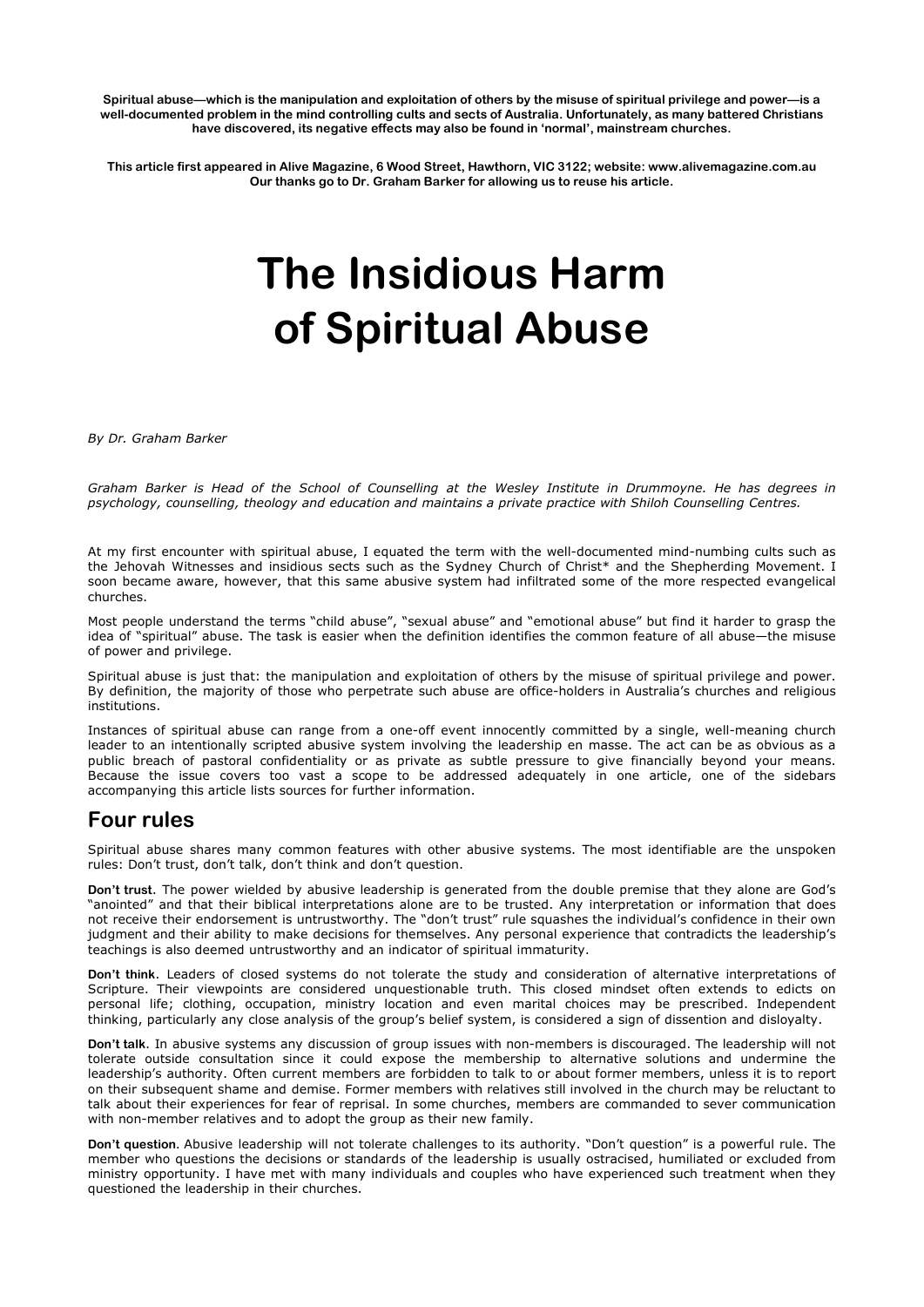**Spiritual abuse—which is the manipulation and exploitation of others by the misuse of spiritual privilege and power—is a** well-documented problem in the mind controlling cults and sects of Australia. Unfortunately, as many battered Christians have discovered, its negative effects may also be found in 'normal', mainstream churches.

**This article first appeared in Alive Magazine, 6 Wood Street, Hawthorn, VIC 3122; website: www.alivemagazine.com.au Our thanks go to Dr. Graham Barker for allowing us to reuse his article.**

# **The Insidious Harm of Spiritual Abuse**

*By Dr. Graham Barker* 

Graham Barker is Head of the School of Counselling at the Wesley Institute in Drummoyne. He has degrees in *psychology, counselling, theology and education and maintains a private practice with Shiloh Counselling Centres.*

At my first encounter with spiritual abuse, I equated the term with the well-documented mind-numbing cults such as the Jehovah Witnesses and insidious sects such as the Sydney Church of Christ\* and the Shepherding Movement. I soon became aware, however, that this same abusive system had infiltrated some of the more respected evangelical churches.

Most people understand the terms "child abuse", "sexual abuse" and "emotional abuse" but find it harder to grasp the idea of "spiritual" abuse. The task is easier when the definition identifies the common feature of all abuse—the misuse of power and privilege.

Spiritual abuse is just that: the manipulation and exploitation of others by the misuse of spiritual privilege and power. By definition, the majority of those who perpetrate such abuse are office-holders in Australia's churches and religious institutions.

Instances of spiritual abuse can range from a one-off event innocently committed by a single, well-meaning church leader to an intentionally scripted abusive system involving the leadership en masse. The act can be as obvious as a public breach of pastoral confidentiality or as private as subtle pressure to give financially beyond your means. Because the issue covers too vast a scope to be addressed adequately in one article, one of the sidebars accompanying this article lists sources for further information.

# **Four rules**

Spiritual abuse shares many common features with other abusive systems. The most identifiable are the unspoken rules: Don't trust, don't talk, don't think and don't question.

**Don't trust**. The power wielded by abusive leadership is generated from the double premise that they alone are God's "anointed" and that their biblical interpretations alone are to be trusted. Any interpretation or information that does not receive their endorsement is untrustworthy. The "don't trust" rule squashes the individual's confidence in their own judgment and their ability to make decisions for themselves. Any personal experience that contradicts the leadership's teachings is also deemed untrustworthy and an indicator of spiritual immaturity.

**Don't think**. Leaders of closed systems do not tolerate the study and consideration of alternative interpretations of Scripture. Their viewpoints are considered unquestionable truth. This closed mindset often extends to edicts on personal life; clothing, occupation, ministry location and even marital choices may be prescribed. Independent thinking, particularly any close analysis of the group's belief system, is considered a sign of dissention and disloyalty.

Don't talk. In abusive systems any discussion of group issues with non-members is discouraged. The leadership will not tolerate outside consultation since it could expose the membership to alternative solutions and undermine the leadership's authority. Often current members are forbidden to talk to or about former members, unless it is to report on their subsequent shame and demise. Former members with relatives still involved in the church may be reluctant to talk about their experiences for fear of reprisal. In some churches, members are commanded to sever communication with non-member relatives and to adopt the group as their new family.

**Don't question.** Abusive leadership will not tolerate challenges to its authority. "Don't question" is a powerful rule. The member who questions the decisions or standards of the leadership is usually ostracised, humiliated or excluded from ministry opportunity. I have met with many individuals and couples who have experienced such treatment when they questioned the leadership in their churches.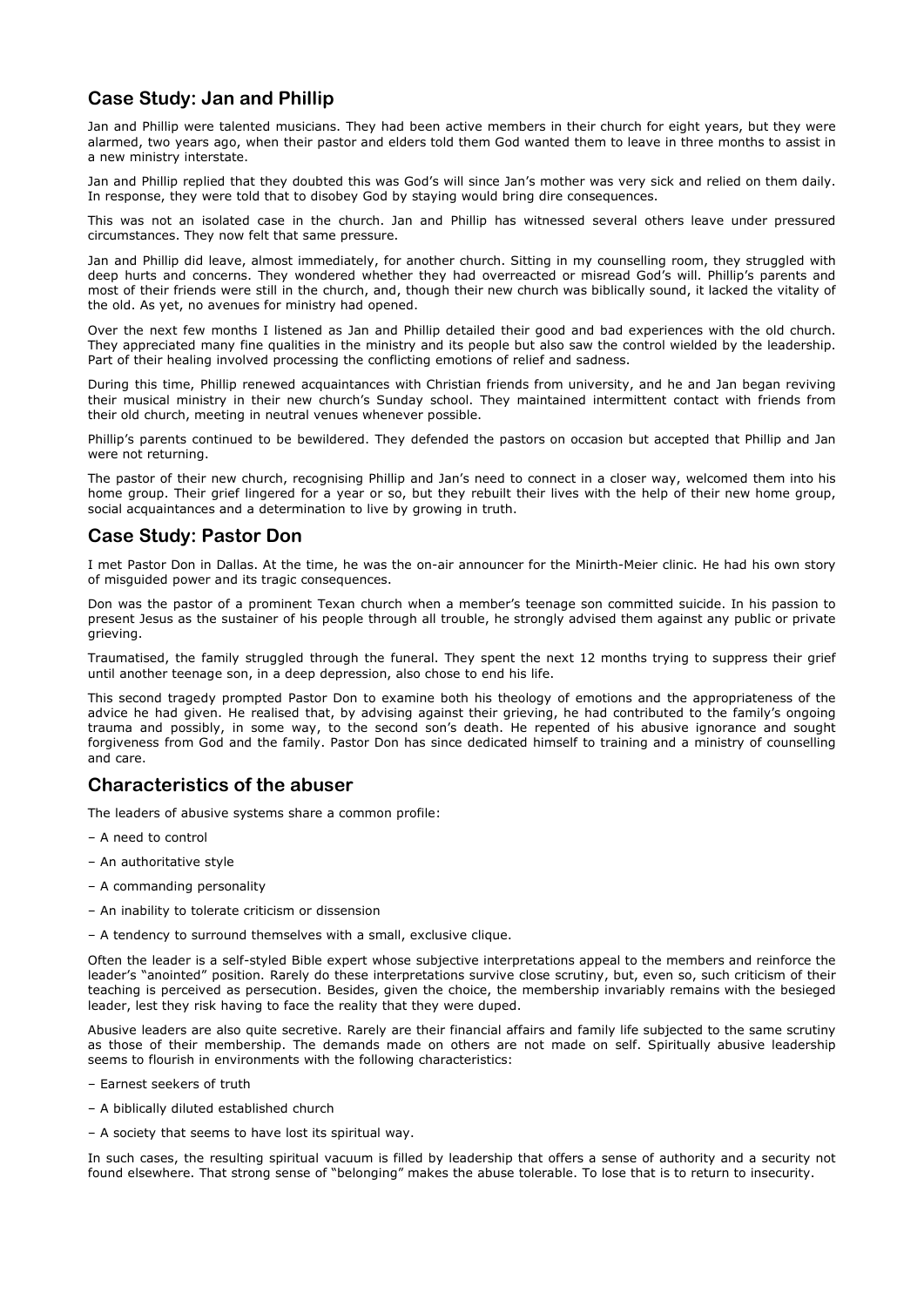# **Case Study: Jan and Phillip**

Jan and Phillip were talented musicians. They had been active members in their church for eight years, but they were alarmed, two years ago, when their pastor and elders told them God wanted them to leave in three months to assist in a new ministry interstate.

Jan and Phillip replied that they doubted this was God's will since Jan's mother was very sick and relied on them daily. In response, they were told that to disobey God by staying would bring dire consequences.

This was not an isolated case in the church. Jan and Phillip has witnessed several others leave under pressured circumstances. They now felt that same pressure.

Jan and Phillip did leave, almost immediately, for another church. Sitting in my counselling room, they struggled with deep hurts and concerns. They wondered whether they had overreacted or misread God's will. Phillip's parents and most of their friends were still in the church, and, though their new church was biblically sound, it lacked the vitality of the old. As yet, no avenues for ministry had opened.

Over the next few months I listened as Jan and Phillip detailed their good and bad experiences with the old church. They appreciated many fine qualities in the ministry and its people but also saw the control wielded by the leadership. Part of their healing involved processing the conflicting emotions of relief and sadness.

During this time, Phillip renewed acquaintances with Christian friends from university, and he and Jan began reviving their musical ministry in their new church's Sunday school. They maintained intermittent contact with friends from their old church, meeting in neutral venues whenever possible.

Phillip's parents continued to be bewildered. They defended the pastors on occasion but accepted that Phillip and Jan were not returning.

The pastor of their new church, recognising Phillip and Jan's need to connect in a closer way, welcomed them into his home group. Their grief lingered for a year or so, but they rebuilt their lives with the help of their new home group, social acquaintances and a determination to live by growing in truth.

## **Case Study: Pastor Don**

I met Pastor Don in Dallas. At the time, he was the on-air announcer for the Minirth-Meier clinic. He had his own story of misguided power and its tragic consequences.

Don was the pastor of a prominent Texan church when a member's teenage son committed suicide. In his passion to present Jesus as the sustainer of his people through all trouble, he strongly advised them against any public or private grieving.

Traumatised, the family struggled through the funeral. They spent the next 12 months trying to suppress their grief until another teenage son, in a deep depression, also chose to end his life.

This second tragedy prompted Pastor Don to examine both his theology of emotions and the appropriateness of the advice he had given. He realised that, by advising against their grieving, he had contributed to the family's ongoing trauma and possibly, in some way, to the second son's death. He repented of his abusive ignorance and sought forgiveness from God and the family. Pastor Don has since dedicated himself to training and a ministry of counselling and care.

### **Characteristics of the abuser**

The leaders of abusive systems share a common profile:

- A need to control
- An authoritative style
- A commanding personality
- An inability to tolerate criticism or dissension
- A tendency to surround themselves with a small, exclusive clique.

Often the leader is a self-styled Bible expert whose subjective interpretations appeal to the members and reinforce the leader's "anointed" position. Rarely do these interpretations survive close scrutiny, but, even so, such criticism of their teaching is perceived as persecution. Besides, given the choice, the membership invariably remains with the besieged leader, lest they risk having to face the reality that they were duped.

Abusive leaders are also quite secretive. Rarely are their financial affairs and family life subjected to the same scrutiny as those of their membership. The demands made on others are not made on self. Spiritually abusive leadership seems to flourish in environments with the following characteristics:

- Earnest seekers of truth
- A biblically diluted established church
- A society that seems to have lost its spiritual way.

In such cases, the resulting spiritual vacuum is filled by leadership that offers a sense of authority and a security not found elsewhere. That strong sense of "belonging" makes the abuse tolerable. To lose that is to return to insecurity.